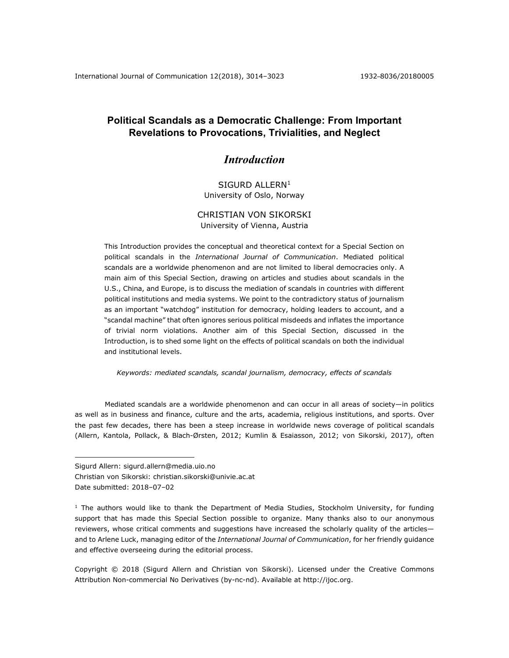# **Political Scandals as a Democratic Challenge: From Important Revelations to Provocations, Trivialities, and Neglect**

# *Introduction*

## SIGURD ALLERN<sup>1</sup> University of Oslo, Norway

## CHRISTIAN VON SIKORSKI University of Vienna, Austria

This Introduction provides the conceptual and theoretical context for a Special Section on political scandals in the *International Journal of Communication*. Mediated political scandals are a worldwide phenomenon and are not limited to liberal democracies only. A main aim of this Special Section, drawing on articles and studies about scandals in the U.S., China, and Europe, is to discuss the mediation of scandals in countries with different political institutions and media systems. We point to the contradictory status of journalism as an important "watchdog" institution for democracy, holding leaders to account, and a "scandal machine" that often ignores serious political misdeeds and inflates the importance of trivial norm violations. Another aim of this Special Section, discussed in the Introduction, is to shed some light on the effects of political scandals on both the individual and institutional levels.

*Keywords: mediated scandals, scandal journalism, democracy, effects of scandals*

Mediated scandals are a worldwide phenomenon and can occur in all areas of society—in politics as well as in business and finance, culture and the arts, academia, religious institutions, and sports. Over the past few decades, there has been a steep increase in worldwide news coverage of political scandals (Allern, Kantola, Pollack, & Blach-Ørsten, 2012; Kumlin & Esaiasson, 2012; von Sikorski, 2017), often

Christian von Sikorski: christian.sikorski@univie.ac.at

Date submitted: 2018-07-02

 $\overline{a}$ 

Sigurd Allern: sigurd.allern@media.uio.no

 $1$  The authors would like to thank the Department of Media Studies, Stockholm University, for funding support that has made this Special Section possible to organize. Many thanks also to our anonymous reviewers, whose critical comments and suggestions have increased the scholarly quality of the articles and to Arlene Luck, managing editor of the *International Journal of Communication*, for her friendly guidance and effective overseeing during the editorial process.

Copyright © 2018 (Sigurd Allern and Christian von Sikorski). Licensed under the Creative Commons Attribution Non-commercial No Derivatives (by-nc-nd). Available at http://ijoc.org.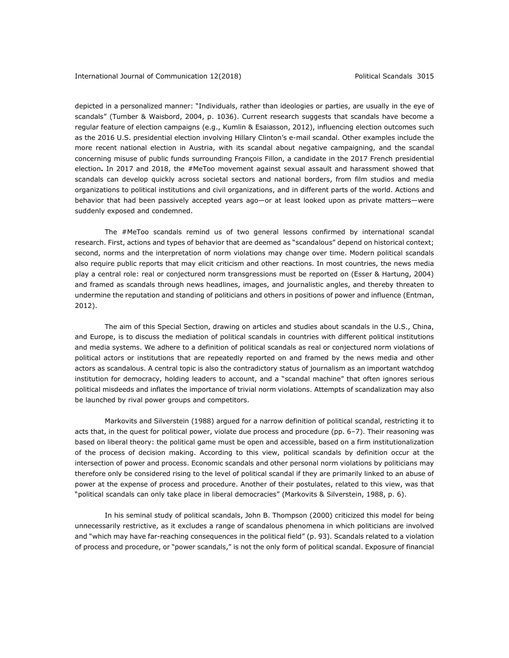depicted in a personalized manner: "Individuals, rather than ideologies or parties, are usually in the eye of scandals" (Tumber & Waisbord, 2004, p. 1036). Current research suggests that scandals have become a regular feature of election campaigns (e.g., Kumlin & Esaiasson, 2012), influencing election outcomes such as the 2016 U.S. presidential election involving Hillary Clinton's e-mail scandal. Other examples include the more recent national election in Austria, with its scandal about negative campaigning, and the scandal concerning misuse of public funds surrounding François Fillon, a candidate in the 2017 French presidential election**.** In 2017 and 2018, the #MeToo movement against sexual assault and harassment showed that scandals can develop quickly across societal sectors and national borders, from film studios and media organizations to political institutions and civil organizations, and in different parts of the world. Actions and behavior that had been passively accepted years ago—or at least looked upon as private matters—were suddenly exposed and condemned.

The #MeToo scandals remind us of two general lessons confirmed by international scandal research. First, actions and types of behavior that are deemed as "scandalous" depend on historical context; second, norms and the interpretation of norm violations may change over time. Modern political scandals also require public reports that may elicit criticism and other reactions. In most countries, the news media play a central role: real or conjectured norm transgressions must be reported on (Esser & Hartung, 2004) and framed as scandals through news headlines, images, and journalistic angles, and thereby threaten to undermine the reputation and standing of politicians and others in positions of power and influence (Entman, 2012).

The aim of this Special Section, drawing on articles and studies about scandals in the U.S., China, and Europe, is to discuss the mediation of political scandals in countries with different political institutions and media systems. We adhere to a definition of political scandals as real or conjectured norm violations of political actors or institutions that are repeatedly reported on and framed by the news media and other actors as scandalous. A central topic is also the contradictory status of journalism as an important watchdog institution for democracy, holding leaders to account, and a "scandal machine" that often ignores serious political misdeeds and inflates the importance of trivial norm violations. Attempts of scandalization may also be launched by rival power groups and competitors.

Markovits and Silverstein (1988) argued for a narrow definition of political scandal, restricting it to acts that, in the quest for political power, violate due process and procedure (pp. 6–7). Their reasoning was based on liberal theory: the political game must be open and accessible, based on a firm institutionalization of the process of decision making. According to this view, political scandals by definition occur at the intersection of power and process. Economic scandals and other personal norm violations by politicians may therefore only be considered rising to the level of political scandal if they are primarily linked to an abuse of power at the expense of process and procedure. Another of their postulates, related to this view, was that "political scandals can only take place in liberal democracies" (Markovits & Silverstein, 1988, p. 6).

In his seminal study of political scandals, John B. Thompson (2000) criticized this model for being unnecessarily restrictive, as it excludes a range of scandalous phenomena in which politicians are involved and "which may have far-reaching consequences in the political field" (p. 93). Scandals related to a violation of process and procedure, or "power scandals," is not the only form of political scandal. Exposure of financial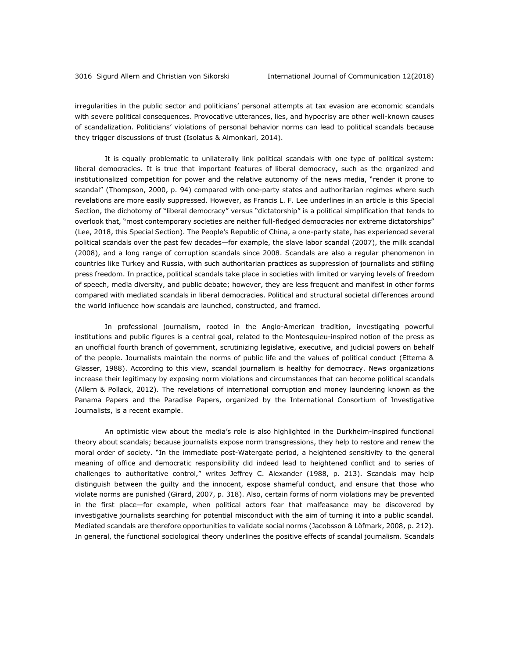irregularities in the public sector and politicians' personal attempts at tax evasion are economic scandals with severe political consequences. Provocative utterances, lies, and hypocrisy are other well-known causes of scandalization. Politicians' violations of personal behavior norms can lead to political scandals because they trigger discussions of trust (Isolatus & Almonkari, 2014).

It is equally problematic to unilaterally link political scandals with one type of political system: liberal democracies. It is true that important features of liberal democracy, such as the organized and institutionalized competition for power and the relative autonomy of the news media, "render it prone to scandal" (Thompson, 2000, p. 94) compared with one-party states and authoritarian regimes where such revelations are more easily suppressed. However, as Francis L. F. Lee underlines in an article is this Special Section, the dichotomy of "liberal democracy" versus "dictatorship" is a political simplification that tends to overlook that, "most contemporary societies are neither full-fledged democracies nor extreme dictatorships" (Lee, 2018, this Special Section). The People's Republic of China, a one-party state, has experienced several political scandals over the past few decades—for example, the slave labor scandal (2007), the milk scandal (2008), and a long range of corruption scandals since 2008. Scandals are also a regular phenomenon in countries like Turkey and Russia, with such authoritarian practices as suppression of journalists and stifling press freedom. In practice, political scandals take place in societies with limited or varying levels of freedom of speech, media diversity, and public debate; however, they are less frequent and manifest in other forms compared with mediated scandals in liberal democracies. Political and structural societal differences around the world influence how scandals are launched, constructed, and framed.

In professional journalism, rooted in the Anglo-American tradition, investigating powerful institutions and public figures is a central goal, related to the Montesquieu-inspired notion of the press as an unofficial fourth branch of government, scrutinizing legislative, executive, and judicial powers on behalf of the people. Journalists maintain the norms of public life and the values of political conduct (Ettema & Glasser, 1988). According to this view, scandal journalism is healthy for democracy. News organizations increase their legitimacy by exposing norm violations and circumstances that can become political scandals (Allern & Pollack, 2012). The revelations of international corruption and money laundering known as the Panama Papers and the Paradise Papers, organized by the International Consortium of Investigative Journalists, is a recent example.

An optimistic view about the media's role is also highlighted in the Durkheim-inspired functional theory about scandals; because journalists expose norm transgressions, they help to restore and renew the moral order of society. "In the immediate post-Watergate period, a heightened sensitivity to the general meaning of office and democratic responsibility did indeed lead to heightened conflict and to series of challenges to authoritative control," writes Jeffrey C. Alexander (1988, p. 213). Scandals may help distinguish between the guilty and the innocent, expose shameful conduct, and ensure that those who violate norms are punished (Girard, 2007, p. 318). Also, certain forms of norm violations may be prevented in the first place—for example, when political actors fear that malfeasance may be discovered by investigative journalists searching for potential misconduct with the aim of turning it into a public scandal. Mediated scandals are therefore opportunities to validate social norms (Jacobsson & Löfmark, 2008, p. 212). In general, the functional sociological theory underlines the positive effects of scandal journalism. Scandals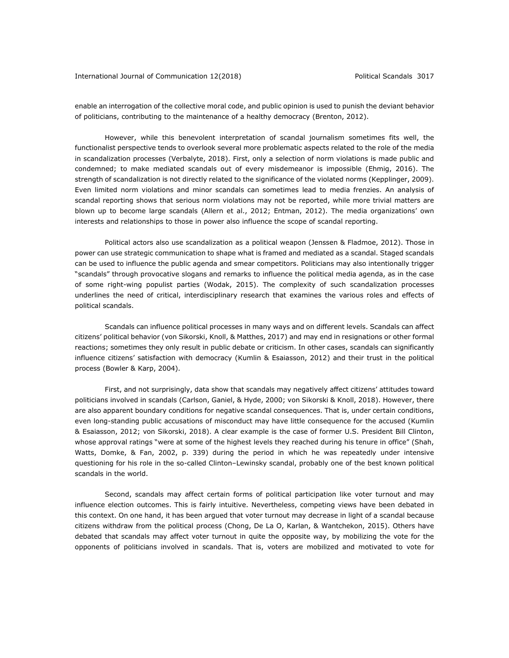### International Journal of Communication 12(2018) **Political Scandals 3017**

enable an interrogation of the collective moral code, and public opinion is used to punish the deviant behavior of politicians, contributing to the maintenance of a healthy democracy (Brenton, 2012).

However, while this benevolent interpretation of scandal journalism sometimes fits well, the functionalist perspective tends to overlook several more problematic aspects related to the role of the media in scandalization processes (Verbalyte, 2018). First, only a selection of norm violations is made public and condemned; to make mediated scandals out of every misdemeanor is impossible (Ehmig, 2016). The strength of scandalization is not directly related to the significance of the violated norms (Kepplinger, 2009). Even limited norm violations and minor scandals can sometimes lead to media frenzies. An analysis of scandal reporting shows that serious norm violations may not be reported, while more trivial matters are blown up to become large scandals (Allern et al., 2012; Entman, 2012). The media organizations' own interests and relationships to those in power also influence the scope of scandal reporting.

Political actors also use scandalization as a political weapon (Jenssen & Fladmoe, 2012). Those in power can use strategic communication to shape what is framed and mediated as a scandal. Staged scandals can be used to influence the public agenda and smear competitors. Politicians may also intentionally trigger "scandals" through provocative slogans and remarks to influence the political media agenda, as in the case of some right-wing populist parties (Wodak, 2015). The complexity of such scandalization processes underlines the need of critical, interdisciplinary research that examines the various roles and effects of political scandals.

Scandals can influence political processes in many ways and on different levels. Scandals can affect citizens' political behavior (von Sikorski, Knoll, & Matthes, 2017) and may end in resignations or other formal reactions; sometimes they only result in public debate or criticism. In other cases, scandals can significantly influence citizens' satisfaction with democracy (Kumlin & Esaiasson, 2012) and their trust in the political process (Bowler & Karp, 2004).

First, and not surprisingly, data show that scandals may negatively affect citizens' attitudes toward politicians involved in scandals (Carlson, Ganiel, & Hyde, 2000; von Sikorski & Knoll, 2018). However, there are also apparent boundary conditions for negative scandal consequences. That is, under certain conditions, even long-standing public accusations of misconduct may have little consequence for the accused (Kumlin & Esaiasson, 2012; von Sikorski, 2018). A clear example is the case of former U.S. President Bill Clinton, whose approval ratings "were at some of the highest levels they reached during his tenure in office" (Shah, Watts, Domke, & Fan, 2002, p. 339) during the period in which he was repeatedly under intensive questioning for his role in the so-called Clinton–Lewinsky scandal, probably one of the best known political scandals in the world.

Second, scandals may affect certain forms of political participation like voter turnout and may influence election outcomes. This is fairly intuitive. Nevertheless, competing views have been debated in this context. On one hand, it has been argued that voter turnout may decrease in light of a scandal because citizens withdraw from the political process (Chong, De La O, Karlan, & Wantchekon, 2015). Others have debated that scandals may affect voter turnout in quite the opposite way, by mobilizing the vote for the opponents of politicians involved in scandals. That is, voters are mobilized and motivated to vote for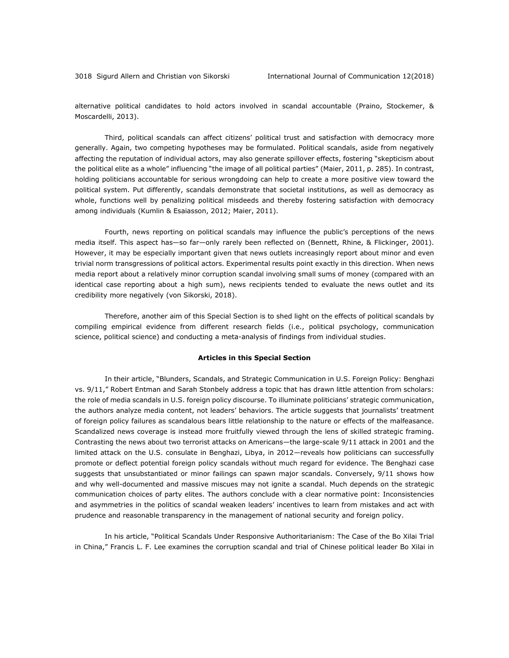alternative political candidates to hold actors involved in scandal accountable (Praino, Stockemer, & Moscardelli, 2013).

Third, political scandals can affect citizens' political trust and satisfaction with democracy more generally. Again, two competing hypotheses may be formulated. Political scandals, aside from negatively affecting the reputation of individual actors, may also generate spillover effects, fostering "skepticism about the political elite as a whole" influencing "the image of all political parties" (Maier, 2011, p. 285). In contrast, holding politicians accountable for serious wrongdoing can help to create a more positive view toward the political system. Put differently, scandals demonstrate that societal institutions, as well as democracy as whole, functions well by penalizing political misdeeds and thereby fostering satisfaction with democracy among individuals (Kumlin & Esaiasson, 2012; Maier, 2011).

Fourth, news reporting on political scandals may influence the public's perceptions of the news media itself. This aspect has—so far—only rarely been reflected on (Bennett, Rhine, & Flickinger, 2001). However, it may be especially important given that news outlets increasingly report about minor and even trivial norm transgressions of political actors. Experimental results point exactly in this direction. When news media report about a relatively minor corruption scandal involving small sums of money (compared with an identical case reporting about a high sum), news recipients tended to evaluate the news outlet and its credibility more negatively (von Sikorski, 2018).

Therefore, another aim of this Special Section is to shed light on the effects of political scandals by compiling empirical evidence from different research fields (i.e., political psychology, communication science, political science) and conducting a meta-analysis of findings from individual studies.

#### **Articles in this Special Section**

In their article, "Blunders, Scandals, and Strategic Communication in U.S. Foreign Policy: Benghazi vs. 9/11," Robert Entman and Sarah Stonbely address a topic that has drawn little attention from scholars: the role of media scandals in U.S. foreign policy discourse. To illuminate politicians' strategic communication, the authors analyze media content, not leaders' behaviors. The article suggests that journalists' treatment of foreign policy failures as scandalous bears little relationship to the nature or effects of the malfeasance. Scandalized news coverage is instead more fruitfully viewed through the lens of skilled strategic framing. Contrasting the news about two terrorist attacks on Americans—the large-scale 9/11 attack in 2001 and the limited attack on the U.S. consulate in Benghazi, Libya, in 2012—reveals how politicians can successfully promote or deflect potential foreign policy scandals without much regard for evidence. The Benghazi case suggests that unsubstantiated or minor failings can spawn major scandals. Conversely, 9/11 shows how and why well-documented and massive miscues may not ignite a scandal. Much depends on the strategic communication choices of party elites. The authors conclude with a clear normative point: Inconsistencies and asymmetries in the politics of scandal weaken leaders' incentives to learn from mistakes and act with prudence and reasonable transparency in the management of national security and foreign policy.

In his article, "Political Scandals Under Responsive Authoritarianism: The Case of the Bo Xilai Trial in China," Francis L. F. Lee examines the corruption scandal and trial of Chinese political leader Bo Xilai in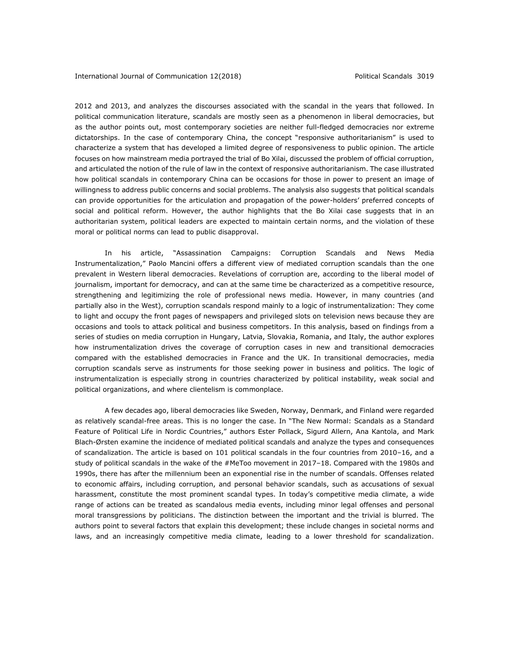2012 and 2013, and analyzes the discourses associated with the scandal in the years that followed. In political communication literature, scandals are mostly seen as a phenomenon in liberal democracies, but as the author points out, most contemporary societies are neither full-fledged democracies nor extreme dictatorships. In the case of contemporary China, the concept "responsive authoritarianism" is used to characterize a system that has developed a limited degree of responsiveness to public opinion. The article focuses on how mainstream media portrayed the trial of Bo Xilai, discussed the problem of official corruption, and articulated the notion of the rule of law in the context of responsive authoritarianism. The case illustrated how political scandals in contemporary China can be occasions for those in power to present an image of willingness to address public concerns and social problems. The analysis also suggests that political scandals can provide opportunities for the articulation and propagation of the power-holders' preferred concepts of social and political reform. However, the author highlights that the Bo Xilai case suggests that in an authoritarian system, political leaders are expected to maintain certain norms, and the violation of these moral or political norms can lead to public disapproval.

In his article, "Assassination Campaigns: Corruption Scandals and News Media Instrumentalization," Paolo Mancini offers a different view of mediated corruption scandals than the one prevalent in Western liberal democracies. Revelations of corruption are, according to the liberal model of journalism, important for democracy, and can at the same time be characterized as a competitive resource, strengthening and legitimizing the role of professional news media. However, in many countries (and partially also in the West), corruption scandals respond mainly to a logic of instrumentalization: They come to light and occupy the front pages of newspapers and privileged slots on television news because they are occasions and tools to attack political and business competitors. In this analysis, based on findings from a series of studies on media corruption in Hungary, Latvia, Slovakia, Romania, and Italy, the author explores how instrumentalization drives the coverage of corruption cases in new and transitional democracies compared with the established democracies in France and the UK. In transitional democracies, media corruption scandals serve as instruments for those seeking power in business and politics. The logic of instrumentalization is especially strong in countries characterized by political instability, weak social and political organizations, and where clientelism is commonplace.

A few decades ago, liberal democracies like Sweden, Norway, Denmark, and Finland were regarded as relatively scandal-free areas. This is no longer the case. In "The New Normal: Scandals as a Standard Feature of Political Life in Nordic Countries," authors Ester Pollack, Sigurd Allern, Ana Kantola, and Mark Blach-Ørsten examine the incidence of mediated political scandals and analyze the types and consequences of scandalization. The article is based on 101 political scandals in the four countries from 2010–16, and a study of political scandals in the wake of the #MeToo movement in 2017-18. Compared with the 1980s and 1990s, there has after the millennium been an exponential rise in the number of scandals. Offenses related to economic affairs, including corruption, and personal behavior scandals, such as accusations of sexual harassment, constitute the most prominent scandal types. In today's competitive media climate, a wide range of actions can be treated as scandalous media events, including minor legal offenses and personal moral transgressions by politicians. The distinction between the important and the trivial is blurred. The authors point to several factors that explain this development; these include changes in societal norms and laws, and an increasingly competitive media climate, leading to a lower threshold for scandalization.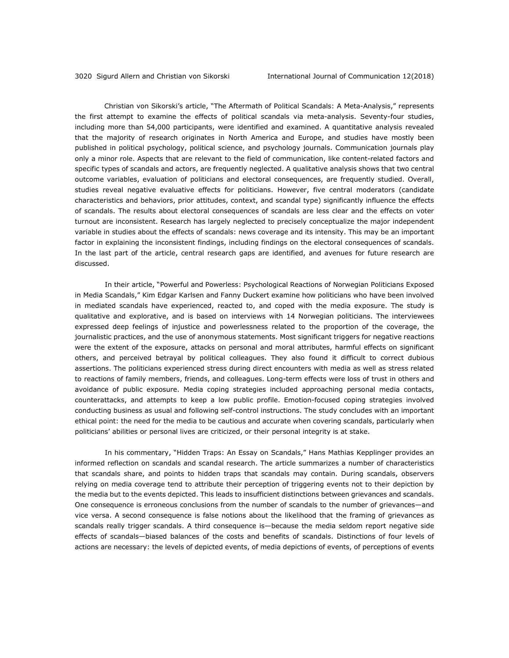Christian von Sikorski's article, "The Aftermath of Political Scandals: A Meta-Analysis," represents the first attempt to examine the effects of political scandals via meta-analysis. Seventy-four studies, including more than 54,000 participants, were identified and examined. A quantitative analysis revealed that the majority of research originates in North America and Europe, and studies have mostly been published in political psychology, political science, and psychology journals. Communication journals play only a minor role. Aspects that are relevant to the field of communication, like content-related factors and specific types of scandals and actors, are frequently neglected. A qualitative analysis shows that two central outcome variables, evaluation of politicians and electoral consequences, are frequently studied. Overall, studies reveal negative evaluative effects for politicians. However, five central moderators (candidate characteristics and behaviors, prior attitudes, context, and scandal type) significantly influence the effects of scandals. The results about electoral consequences of scandals are less clear and the effects on voter turnout are inconsistent. Research has largely neglected to precisely conceptualize the major independent variable in studies about the effects of scandals: news coverage and its intensity. This may be an important factor in explaining the inconsistent findings, including findings on the electoral consequences of scandals. In the last part of the article, central research gaps are identified, and avenues for future research are discussed.

In their article, "Powerful and Powerless: Psychological Reactions of Norwegian Politicians Exposed in Media Scandals," Kim Edgar Karlsen and Fanny Duckert examine how politicians who have been involved in mediated scandals have experienced, reacted to, and coped with the media exposure. The study is qualitative and explorative, and is based on interviews with 14 Norwegian politicians. The interviewees expressed deep feelings of injustice and powerlessness related to the proportion of the coverage, the journalistic practices, and the use of anonymous statements. Most significant triggers for negative reactions were the extent of the exposure, attacks on personal and moral attributes, harmful effects on significant others, and perceived betrayal by political colleagues. They also found it difficult to correct dubious assertions. The politicians experienced stress during direct encounters with media as well as stress related to reactions of family members, friends, and colleagues. Long-term effects were loss of trust in others and avoidance of public exposure. Media coping strategies included approaching personal media contacts, counterattacks, and attempts to keep a low public profile. Emotion-focused coping strategies involved conducting business as usual and following self-control instructions. The study concludes with an important ethical point: the need for the media to be cautious and accurate when covering scandals, particularly when politicians' abilities or personal lives are criticized, or their personal integrity is at stake.

In his commentary, "Hidden Traps: An Essay on Scandals," Hans Mathias Kepplinger provides an informed reflection on scandals and scandal research. The article summarizes a number of characteristics that scandals share, and points to hidden traps that scandals may contain. During scandals, observers relying on media coverage tend to attribute their perception of triggering events not to their depiction by the media but to the events depicted. This leads to insufficient distinctions between grievances and scandals. One consequence is erroneous conclusions from the number of scandals to the number of grievances—and vice versa. A second consequence is false notions about the likelihood that the framing of grievances as scandals really trigger scandals. A third consequence is—because the media seldom report negative side effects of scandals—biased balances of the costs and benefits of scandals. Distinctions of four levels of actions are necessary: the levels of depicted events, of media depictions of events, of perceptions of events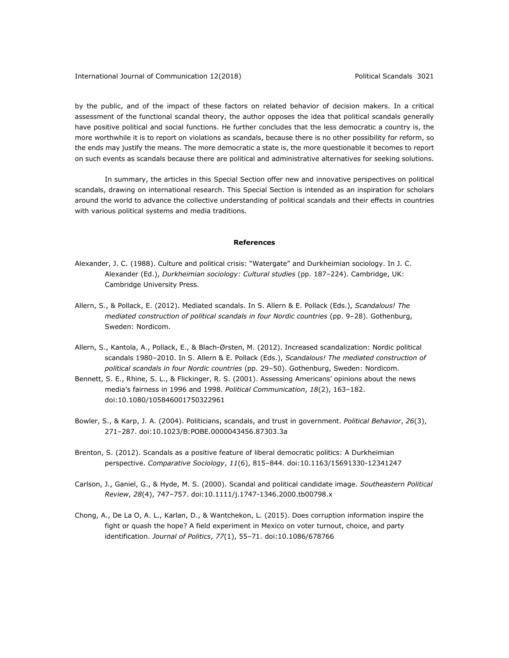by the public, and of the impact of these factors on related behavior of decision makers. In a critical assessment of the functional scandal theory, the author opposes the idea that political scandals generally have positive political and social functions. He further concludes that the less democratic a country is, the more worthwhile it is to report on violations as scandals, because there is no other possibility for reform, so the ends may justify the means. The more democratic a state is, the more questionable it becomes to report on such events as scandals because there are political and administrative alternatives for seeking solutions.

In summary, the articles in this Special Section offer new and innovative perspectives on political scandals, drawing on international research. This Special Section is intended as an inspiration for scholars around the world to advance the collective understanding of political scandals and their effects in countries with various political systems and media traditions.

#### **References**

- Alexander, J. C. (1988). Culture and political crisis: "Watergate" and Durkheimian sociology. In J. C. Alexander (Ed.), *Durkheimian sociology: Cultural studies* (pp. 187–224). Cambridge, UK: Cambridge University Press.
- Allern, S., & Pollack, E. (2012). Mediated scandals. In S. Allern & E. Pollack (Eds.), *Scandalous! The mediated construction of political scandals in four Nordic countries* (pp. 9–28). Gothenburg, Sweden: Nordicom.
- Allern, S., Kantola, A., Pollack, E., & Blach-Ørsten, M. (2012). Increased scandalization: Nordic political scandals 1980–2010. In S. Allern & E. Pollack (Eds.), *Scandalous! The mediated construction of political scandals in four Nordic countries* (pp. 29–50). Gothenburg, Sweden: Nordicom.
- Bennett, S. E., Rhine, S. L., & Flickinger, R. S. (2001). Assessing Americans' opinions about the news media's fairness in 1996 and 1998. *Political Communication*, *18*(2), 163–182. doi:10.1080/105846001750322961
- Bowler, S., & Karp, J. A. (2004). Politicians, scandals, and trust in government. *Political Behavior*, *26*(3), 271–287. doi:10.1023/B:POBE.0000043456.87303.3a
- Brenton, S. (2012). Scandals as a positive feature of liberal democratic politics: A Durkheimian perspective. *Comparative Sociology*, *11*(6), 815–844. doi:10.1163/15691330-12341247
- Carlson, J., Ganiel, G., & Hyde, M. S. (2000). Scandal and political candidate image. *Southeastern Political Review*, *28*(4), 747–757. doi:10.1111/j.1747-1346.2000.tb00798.x
- Chong, A., De La O, A. L., Karlan, D., & Wantchekon, L. (2015). Does corruption information inspire the fight or quash the hope? A field experiment in Mexico on voter turnout, choice, and party identification. *Journal of Politics*, *77*(1), 55–71. doi:10.1086/678766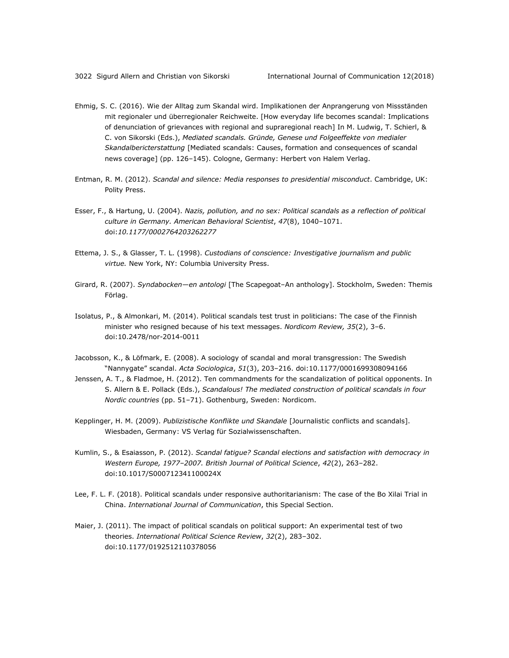- Ehmig, S. C. (2016). Wie der Alltag zum Skandal wird. Implikationen der Anprangerung von Missständen mit regionaler und überregionaler Reichweite. [How everyday life becomes scandal: Implications of denunciation of grievances with regional and supraregional reach] In M. Ludwig, T. Schierl, & C. von Sikorski (Eds.), *Mediated scandals. Gründe, Genese und Folgeeffekte von medialer Skandalbericterstattung* [Mediated scandals: Causes, formation and consequences of scandal news coverage] (pp. 126–145). Cologne, Germany: Herbert von Halem Verlag.
- Entman, R. M. (2012). *Scandal and silence: Media responses to presidential misconduct*. Cambridge, UK: Polity Press.
- Esser, F., & Hartung, U. (2004). *Nazis, pollution, and no sex: Political scandals as a reflection of political culture in Germany. American Behavioral Scientist*, *47*(8), 1040–1071. doi:*10.1177/0002764203262277*
- Ettema, J. S., & Glasser, T. L. (1998). *Custodians of conscience: Investigative journalism and public virtue.* New York, NY: Columbia University Press.
- Girard, R. (2007). *Syndabocken—en antologi* [The Scapegoat–An anthology]. Stockholm, Sweden: Themis Förlag.
- Isolatus, P., & Almonkari, M. (2014). Political scandals test trust in politicians: The case of the Finnish minister who resigned because of his text messages. *Nordicom Review, 35*(2), 3–6. doi:10.2478/nor-2014-0011
- Jacobsson, K., & Löfmark, E. (2008). A sociology of scandal and moral transgression: The Swedish "Nannygate" scandal. *Acta Sociologica*, *51*(3), 203–216. doi:10.1177/0001699308094166
- Jenssen, A. T., & Fladmoe, H. (2012). Ten commandments for the scandalization of political opponents. In S. Allern & E. Pollack (Eds.), *Scandalous! The mediated construction of political scandals in four Nordic countries* (pp. 51–71). Gothenburg, Sweden: Nordicom.
- Kepplinger, H. M. (2009). *Publizistische Konflikte und Skandale* [Journalistic conflicts and scandals]. Wiesbaden, Germany: VS Verlag für Sozialwissenschaften.
- Kumlin, S., & Esaiasson, P. (2012). *Scandal fatigue? Scandal elections and satisfaction with democracy in Western Europe, 1977–2007. British Journal of Political Science*, *42*(2), 263–282. doi:10.1017/S000712341100024X
- Lee, F. L. F. (2018). Political scandals under responsive authoritarianism: The case of the Bo Xilai Trial in China. *International Journal of Communication*, this Special Section.
- Maier, J. (2011). The impact of political scandals on political support: An experimental test of two theories. *International Political Science Review*, *32*(2), 283–302. doi:10.1177/0192512110378056